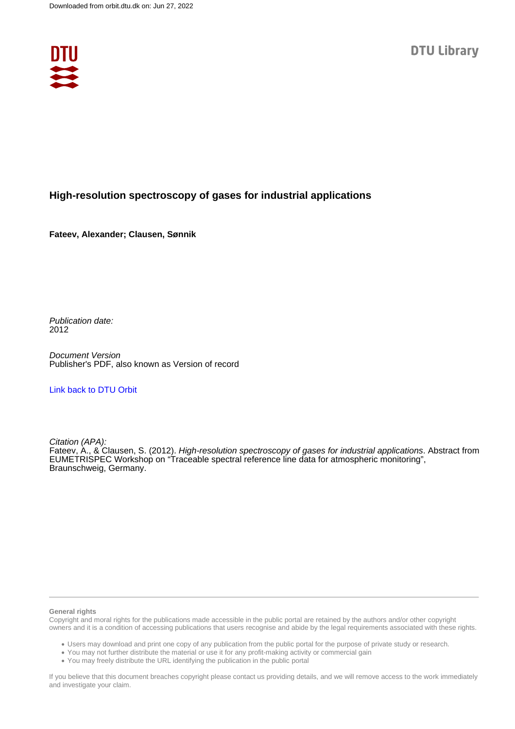

## **High-resolution spectroscopy of gases for industrial applications**

**Fateev, Alexander; Clausen, Sønnik**

Publication date: 2012

Document Version Publisher's PDF, also known as Version of record

### [Link back to DTU Orbit](https://orbit.dtu.dk/en/publications/2219a1a9-15ed-4527-8fba-7947ac938f7f)

Citation (APA): Fateev, A., & Clausen, S. (2012). High-resolution spectroscopy of gases for industrial applications. Abstract from EUMETRISPEC Workshop on "Traceable spectral reference line data for atmospheric monitoring", Braunschweig, Germany.

#### **General rights**

Copyright and moral rights for the publications made accessible in the public portal are retained by the authors and/or other copyright owners and it is a condition of accessing publications that users recognise and abide by the legal requirements associated with these rights.

Users may download and print one copy of any publication from the public portal for the purpose of private study or research.

- You may not further distribute the material or use it for any profit-making activity or commercial gain
- You may freely distribute the URL identifying the publication in the public portal

If you believe that this document breaches copyright please contact us providing details, and we will remove access to the work immediately and investigate your claim.